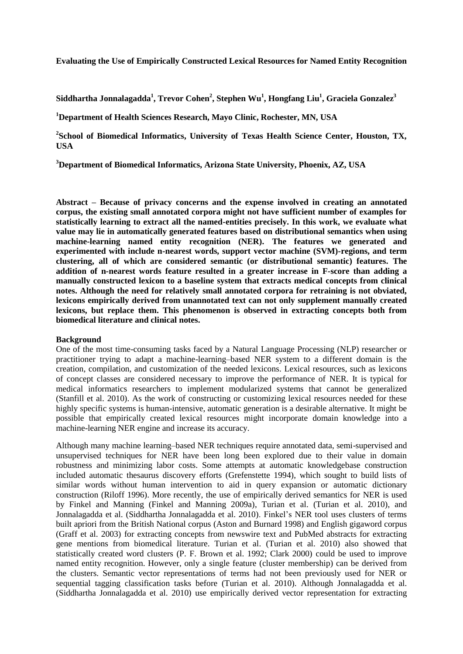**Evaluating the Use of Empirically Constructed Lexical Resources for Named Entity Recognition**

**Siddhartha Jonnalagadda<sup>1</sup> , Trevor Cohen<sup>2</sup> , Stephen Wu<sup>1</sup> , Hongfang Liu<sup>1</sup> , Graciela Gonzalez<sup>3</sup>**

**<sup>1</sup>Department of Health Sciences Research, Mayo Clinic, Rochester, MN, USA**

<sup>2</sup> School of Biomedical Informatics, University of Texas Health Science Center, Houston, TX, **USA**

**<sup>3</sup>Department of Biomedical Informatics, Arizona State University, Phoenix, AZ, USA**

**Abstract – Because of privacy concerns and the expense involved in creating an annotated corpus, the existing small annotated corpora might not have sufficient number of examples for statistically learning to extract all the named-entities precisely. In this work, we evaluate what value may lie in automatically generated features based on distributional semantics when using machine-learning named entity recognition (NER). The features we generated and experimented with include n-nearest words, support vector machine (SVM)-regions, and term clustering, all of which are considered semantic (or distributional semantic) features. The addition of n-nearest words feature resulted in a greater increase in F-score than adding a manually constructed lexicon to a baseline system that extracts medical concepts from clinical notes. Although the need for relatively small annotated corpora for retraining is not obviated, lexicons empirically derived from unannotated text can not only supplement manually created lexicons, but replace them. This phenomenon is observed in extracting concepts both from biomedical literature and clinical notes.** 

# **Background**

One of the most time-consuming tasks faced by a Natural Language Processing (NLP) researcher or practitioner trying to adapt a machine-learning–based NER system to a different domain is the creation, compilation, and customization of the needed lexicons. Lexical resources, such as lexicons of concept classes are considered necessary to improve the performance of NER. It is typical for medical informatics researchers to implement modularized systems that cannot be generalized (Stanfill et al. 2010). As the work of constructing or customizing lexical resources needed for these highly specific systems is human-intensive, automatic generation is a desirable alternative. It might be possible that empirically created lexical resources might incorporate domain knowledge into a machine-learning NER engine and increase its accuracy.

Although many machine learning–based NER techniques require annotated data, semi-supervised and unsupervised techniques for NER have been long been explored due to their value in domain robustness and minimizing labor costs. Some attempts at automatic knowledgebase construction included automatic thesaurus discovery efforts (Grefenstette 1994), which sought to build lists of similar words without human intervention to aid in query expansion or automatic dictionary construction (Riloff 1996). More recently, the use of empirically derived semantics for NER is used by Finkel and Manning (Finkel and Manning 2009a), Turian et al. (Turian et al. 2010), and Jonnalagadda et al. (Siddhartha Jonnalagadda et al. 2010). Finkel's NER tool uses clusters of terms built apriori from the British National corpus (Aston and Burnard 1998) and English gigaword corpus (Graff et al. 2003) for extracting concepts from newswire text and PubMed abstracts for extracting gene mentions from biomedical literature. Turian et al. (Turian et al. 2010) also showed that statistically created word clusters (P. F. Brown et al. 1992; Clark 2000) could be used to improve named entity recognition. However, only a single feature (cluster membership) can be derived from the clusters. Semantic vector representations of terms had not been previously used for NER or sequential tagging classification tasks before (Turian et al. 2010). Although Jonnalagadda et al. (Siddhartha Jonnalagadda et al. 2010) use empirically derived vector representation for extracting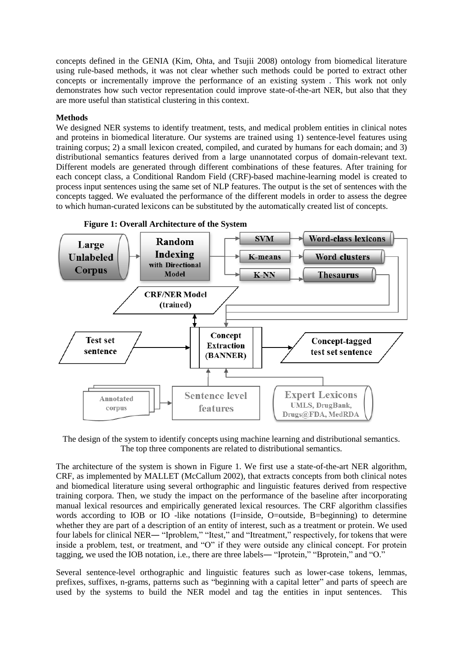concepts defined in the GENIA (Kim, Ohta, and Tsujii 2008) ontology from biomedical literature using rule-based methods, it was not clear whether such methods could be ported to extract other concepts or incrementally improve the performance of an existing system . This work not only demonstrates how such vector representation could improve state-of-the-art NER, but also that they are more useful than statistical clustering in this context.

### **Methods**

We designed NER systems to identify treatment, tests, and medical problem entities in clinical notes and proteins in biomedical literature. Our systems are trained using 1) sentence-level features using training corpus; 2) a small lexicon created, compiled, and curated by humans for each domain; and 3) distributional semantics features derived from a large unannotated corpus of domain-relevant text. Different models are generated through different combinations of these features. After training for each concept class, a Conditional Random Field (CRF)-based machine-learning model is created to process input sentences using the same set of NLP features. The output is the set of sentences with the concepts tagged. We evaluated the performance of the different models in order to assess the degree to which human-curated lexicons can be substituted by the automatically created list of concepts.



**Figure 1: Overall Architecture of the System**

The design of the system to identify concepts using machine learning and distributional semantics. The top three components are related to distributional semantics.

The architecture of the system is shown in Figure 1. We first use a state-of-the-art NER algorithm, CRF, as implemented by MALLET (McCallum 2002), that extracts concepts from both clinical notes and biomedical literature using several orthographic and linguistic features derived from respective training corpora. Then, we study the impact on the performance of the baseline after incorporating manual lexical resources and empirically generated lexical resources. The CRF algorithm classifies words according to IOB or IO -like notations (I=inside, O=outside, B=beginning) to determine whether they are part of a description of an entity of interest, such as a treatment or protein. We used four labels for clinical NER― "Iproblem," "Itest," and "Itreatment," respectively, for tokens that were inside a problem, test, or treatment, and "O" if they were outside any clinical concept. For protein tagging, we used the IOB notation, i.e., there are three labels― "Iprotein," "Bprotein," and "O."

Several sentence-level orthographic and linguistic features such as lower-case tokens, lemmas, prefixes, suffixes, n-grams, patterns such as "beginning with a capital letter" and parts of speech are used by the systems to build the NER model and tag the entities in input sentences. This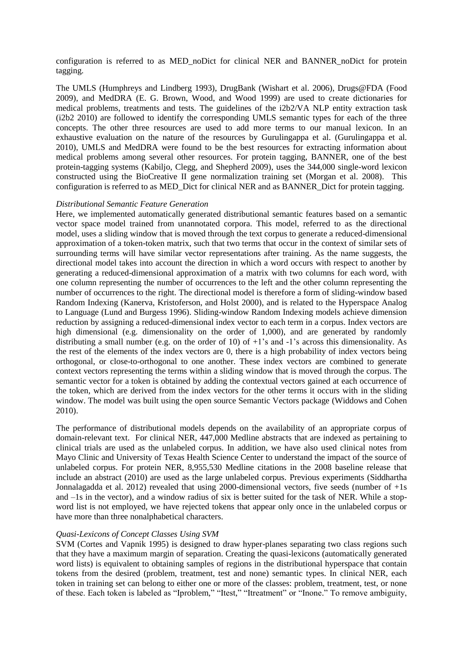configuration is referred to as MED\_noDict for clinical NER and BANNER\_noDict for protein tagging.

The UMLS (Humphreys and Lindberg 1993), DrugBank (Wishart et al. 2006), Drugs@FDA (Food 2009), and MedDRA (E. G. Brown, Wood, and Wood 1999) are used to create dictionaries for medical problems, treatments and tests. The guidelines of the i2b2/VA NLP entity extraction task (i2b2 2010) are followed to identify the corresponding UMLS semantic types for each of the three concepts. The other three resources are used to add more terms to our manual lexicon. In an exhaustive evaluation on the nature of the resources by Gurulingappa et al. (Gurulingappa et al. 2010), UMLS and MedDRA were found to be the best resources for extracting information about medical problems among several other resources. For protein tagging, BANNER, one of the best protein-tagging systems (Kabiljo, Clegg, and Shepherd 2009), uses the 344,000 single-word lexicon constructed using the BioCreative II gene normalization training set (Morgan et al. 2008). This configuration is referred to as MED\_Dict for clinical NER and as BANNER\_Dict for protein tagging.

### *Distributional Semantic Feature Generation*

Here, we implemented automatically generated distributional semantic features based on a semantic vector space model trained from unannotated corpora. This model, referred to as the directional model, uses a sliding window that is moved through the text corpus to generate a reduced-dimensional approximation of a token-token matrix, such that two terms that occur in the context of similar sets of surrounding terms will have similar vector representations after training. As the name suggests, the directional model takes into account the direction in which a word occurs with respect to another by generating a reduced-dimensional approximation of a matrix with two columns for each word, with one column representing the number of occurrences to the left and the other column representing the number of occurrences to the right. The directional model is therefore a form of sliding-window based Random Indexing (Kanerva, Kristoferson, and Holst 2000), and is related to the Hyperspace Analog to Language (Lund and Burgess 1996). Sliding-window Random Indexing models achieve dimension reduction by assigning a reduced-dimensional index vector to each term in a corpus. Index vectors are high dimensional (e.g. dimensionality on the order of 1,000), and are generated by randomly distributing a small number (e.g. on the order of 10) of +1's and -1's across this dimensionality. As the rest of the elements of the index vectors are 0, there is a high probability of index vectors being orthogonal, or close-to-orthogonal to one another. These index vectors are combined to generate context vectors representing the terms within a sliding window that is moved through the corpus. The semantic vector for a token is obtained by adding the contextual vectors gained at each occurrence of the token, which are derived from the index vectors for the other terms it occurs with in the sliding window. The model was built using the open source Semantic Vectors package (Widdows and Cohen 2010).

The performance of distributional models depends on the availability of an appropriate corpus of domain-relevant text. For clinical NER, 447,000 Medline abstracts that are indexed as pertaining to clinical trials are used as the unlabeled corpus. In addition, we have also used clinical notes from Mayo Clinic and University of Texas Health Science Center to understand the impact of the source of unlabeled corpus. For protein NER, 8,955,530 Medline citations in the 2008 baseline release that include an abstract (2010) are used as the large unlabeled corpus. Previous experiments (Siddhartha Jonnalagadda et al. 2012) revealed that using 2000-dimensional vectors, five seeds (number of  $+1s$ ) and –1s in the vector), and a window radius of six is better suited for the task of NER. While a stopword list is not employed, we have rejected tokens that appear only once in the unlabeled corpus or have more than three nonalphabetical characters.

# *Quasi-Lexicons of Concept Classes Using SVM*

SVM (Cortes and Vapnik 1995) is designed to draw hyper-planes separating two class regions such that they have a maximum margin of separation. Creating the quasi-lexicons (automatically generated word lists) is equivalent to obtaining samples of regions in the distributional hyperspace that contain tokens from the desired (problem, treatment, test and none) semantic types. In clinical NER, each token in training set can belong to either one or more of the classes: problem, treatment, test, or none of these. Each token is labeled as "Iproblem," "Itest," "Itreatment" or "Inone." To remove ambiguity,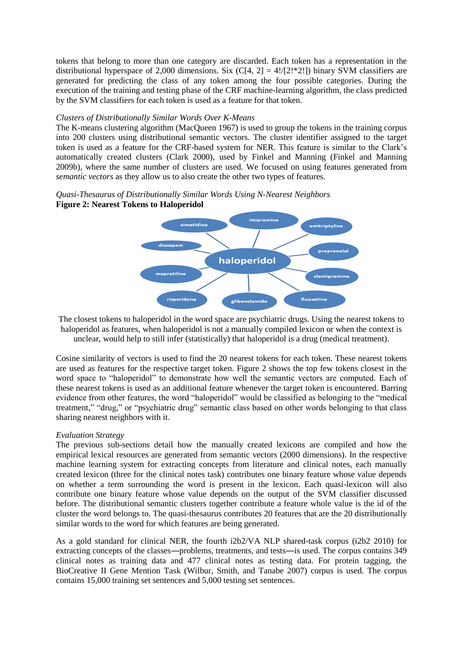tokens that belong to more than one category are discarded. Each token has a representation in the distributional hyperspace of 2,000 dimensions. Six  $(C[4, 2] = 4!/(2!*2!)$  binary SVM classifiers are generated for predicting the class of any token among the four possible categories. During the execution of the training and testing phase of the CRF machine-learning algorithm, the class predicted by the SVM classifiers for each token is used as a feature for that token.

### *Clusters of Distributionally Similar Words Over K-Means*

The K-means clustering algorithm (MacQueen 1967) is used to group the tokens in the training corpus into 200 clusters using distributional semantic vectors. The cluster identifier assigned to the target token is used as a feature for the CRF-based system for NER. This feature is similar to the Clark's automatically created clusters (Clark 2000), used by Finkel and Manning (Finkel and Manning 2009b), where the same number of clusters are used. We focused on using features generated from *semantic vectors* as they allow us to also create the other two types of features.

# *Quasi-Thesaurus of Distributionally Similar Words Using N-Nearest Neighbors*  **Figure 2: Nearest Tokens to Haloperidol**



The closest tokens to haloperidol in the word space are psychiatric drugs. Using the nearest tokens to haloperidol as features, when haloperidol is not a manually compiled lexicon or when the context is unclear, would help to still infer (statistically) that haloperidol is a drug (medical treatment).

Cosine similarity of vectors is used to find the 20 nearest tokens for each token. These nearest tokens are used as features for the respective target token. Figure 2 shows the top few tokens closest in the word space to "haloperidol" to demonstrate how well the semantic vectors are computed. Each of these nearest tokens is used as an additional feature whenever the target token is encountered. Barring evidence from other features, the word "haloperidol" would be classified as belonging to the "medical treatment," "drug," or "psychiatric drug" semantic class based on other words belonging to that class sharing nearest neighbors with it.

# *Evaluation Strategy*

The previous sub-sections detail how the manually created lexicons are compiled and how the empirical lexical resources are generated from semantic vectors (2000 dimensions). In the respective machine learning system for extracting concepts from literature and clinical notes, each manually created lexicon (three for the clinical notes task) contributes one binary feature whose value depends on whether a term surrounding the word is present in the lexicon. Each quasi-lexicon will also contribute one binary feature whose value depends on the output of the SVM classifier discussed before. The distributional semantic clusters together contribute a feature whole value is the id of the cluster the word belongs to. The quasi-thesaurus contributes 20 features that are the 20 distributionally similar words to the word for which features are being generated.

As a gold standard for clinical NER, the fourth i2b2/VA NLP shared-task corpus (i2b2 2010) for extracting concepts of the classes―problems, treatments, and tests―is used. The corpus contains 349 clinical notes as training data and 477 clinical notes as testing data. For protein tagging, the BioCreative II Gene Mention Task (Wilbur, Smith, and Tanabe 2007) corpus is used. The corpus contains 15,000 training set sentences and 5,000 testing set sentences.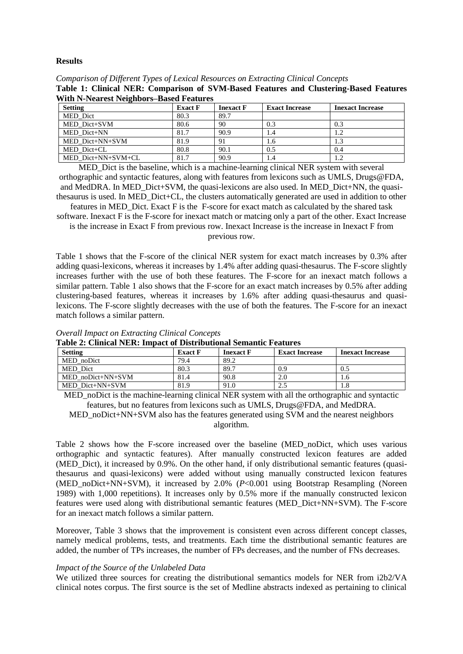### **Results**

| Comparison of Different Types of Lexical Resources on Extracting Clinical Concepts    |  |
|---------------------------------------------------------------------------------------|--|
| Table 1: Clinical NER: Comparison of SVM-Based Features and Clustering-Based Features |  |
| <b>With N-Nearest Neighbors–Based Features</b>                                        |  |

| <b>Setting</b>     | <b>Exact F</b> | <b>Inexact</b> F | <b>Exact Increase</b> | <b>Inexact Increase</b> |
|--------------------|----------------|------------------|-----------------------|-------------------------|
| MED Dict           | 80.3           | 89.7             |                       |                         |
| MED Dict+SVM       | 80.6           | 90               | 0.3                   | 0.3                     |
| MED Dict+NN        | 81.7           | 90.9             | 1.4                   |                         |
| MED Dict+NN+SVM    | 81.9           | 91               | 1.6                   |                         |
| MED Dict+CL        | 80.8           | 90.1             | 0.5                   | 0.4                     |
| MED Dict+NN+SVM+CL | 81.7           | 90.9             | 1.4                   |                         |

MED Dict is the baseline, which is a machine-learning clinical NER system with several orthographic and syntactic features, along with features from lexicons such as UMLS, Drugs@FDA, and MedDRA. In MED\_Dict+SVM, the quasi-lexicons are also used. In MED\_Dict+NN, the quasithesaurus is used. In MED\_Dict+CL, the clusters automatically generated are used in addition to other

features in MED\_Dict. Exact F is the F-score for exact match as calculated by the shared task software. Inexact F is the F-score for inexact match or matcing only a part of the other. Exact Increase

is the increase in Exact F from previous row. Inexact Increase is the increase in Inexact F from previous row.

Table 1 shows that the F-score of the clinical NER system for exact match increases by 0.3% after adding quasi-lexicons, whereas it increases by 1.4% after adding quasi-thesaurus. The F-score slightly increases further with the use of both these features. The F-score for an inexact match follows a similar pattern. Table 1 also shows that the F-score for an exact match increases by 0.5% after adding clustering-based features, whereas it increases by 1.6% after adding quasi-thesaurus and quasilexicons. The F-score slightly decreases with the use of both the features. The F-score for an inexact match follows a similar pattern.

| Table 2: Chnical NER; impact of Distributional Semantic Features |                |                  |                       |                         |
|------------------------------------------------------------------|----------------|------------------|-----------------------|-------------------------|
| <b>Setting</b>                                                   | <b>Exact F</b> | <b>Inexact F</b> | <b>Exact Increase</b> | <b>Inexact Increase</b> |
| MED noDict                                                       | 79.4           | 89.2             |                       |                         |
| MED Dict                                                         | 80.3           | 89.7             | 0.9                   | 0.5                     |
| MED noDict+NN+SVM                                                | 81.4           | 90.8             | 2.0                   | 1.6                     |
| MED Dict+NN+SVM                                                  | 81.9           | 91.0             | 2.5                   |                         |

*Overall Impact on Extracting Clinical Concepts* **Table 2: Clinical NER: Impact of Distributional Semantic Feat** 

MED\_noDict is the machine-learning clinical NER system with all the orthographic and syntactic features, but no features from lexicons such as UMLS, Drugs@FDA, and MedDRA.

MED\_noDict+NN+SVM also has the features generated using SVM and the nearest neighbors algorithm.

Table 2 shows how the F-score increased over the baseline (MED\_noDict, which uses various orthographic and syntactic features). After manually constructed lexicon features are added (MED\_Dict), it increased by 0.9%. On the other hand, if only distributional semantic features (quasithesaurus and quasi-lexicons) were added without using manually constructed lexicon features (MED\_noDict+NN+SVM), it increased by 2.0% (*P*<0.001 using Bootstrap Resampling (Noreen 1989) with 1,000 repetitions). It increases only by 0.5% more if the manually constructed lexicon features were used along with distributional semantic features (MED\_Dict+NN+SVM). The F-score for an inexact match follows a similar pattern.

Moreover, Table 3 shows that the improvement is consistent even across different concept classes, namely medical problems, tests, and treatments. Each time the distributional semantic features are added, the number of TPs increases, the number of FPs decreases, and the number of FNs decreases.

# *Impact of the Source of the Unlabeled Data*

We utilized three sources for creating the distributional semantics models for NER from i2b2/VA clinical notes corpus. The first source is the set of Medline abstracts indexed as pertaining to clinical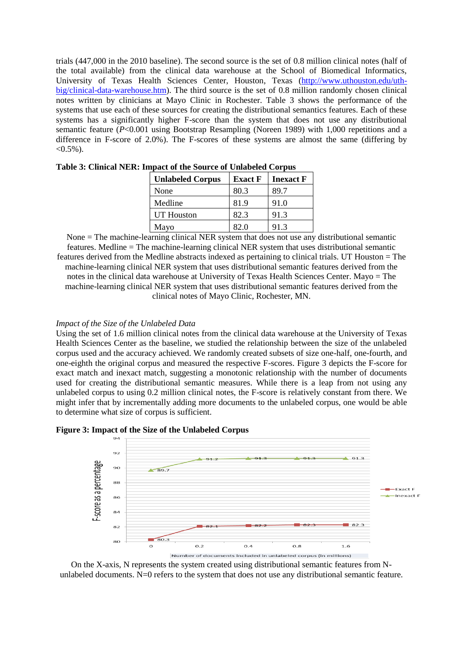trials (447,000 in the 2010 baseline). The second source is the set of 0.8 million clinical notes (half of the total available) from the clinical data warehouse at the School of Biomedical Informatics, University of Texas Health Sciences Center, Houston, Texas [\(http://www.uthouston.edu/uth](http://www.uthouston.edu/uth-big/clinical-data-warehouse.htm)[big/clinical-data-warehouse.htm\)](http://www.uthouston.edu/uth-big/clinical-data-warehouse.htm). The third source is the set of 0.8 million randomly chosen clinical notes written by clinicians at Mayo Clinic in Rochester. Table 3 shows the performance of the systems that use each of these sources for creating the distributional semantics features. Each of these systems has a significantly higher F-score than the system that does not use any distributional semantic feature (*P*<0.001 using Bootstrap Resampling (Noreen 1989) with 1,000 repetitions and a difference in F-score of 2.0%). The F-scores of these systems are almost the same (differing by  $< 0.5\%$ ).

| <b>Unlabeled Corpus</b> | <b>Exact F</b> | <b>Inexact F</b> |
|-------------------------|----------------|------------------|
| None                    | 80.3           | 89.7             |
| Medline                 | 81.9           | 91.0             |
| <b>UT</b> Houston       | 82.3           | 91.3             |
| Mayo                    | 82.0           | 91.3             |

**Table 3: Clinical NER: Impact of the Source of Unlabeled Corpus**

None = The machine-learning clinical NER system that does not use any distributional semantic features. Medline = The machine-learning clinical NER system that uses distributional semantic features derived from the Medline abstracts indexed as pertaining to clinical trials. UT Houston = The machine-learning clinical NER system that uses distributional semantic features derived from the notes in the clinical data warehouse at University of Texas Health Sciences Center. Mayo = The machine-learning clinical NER system that uses distributional semantic features derived from the clinical notes of Mayo Clinic, Rochester, MN.

### *Impact of the Size of the Unlabeled Data*

Using the set of 1.6 million clinical notes from the clinical data warehouse at the University of Texas Health Sciences Center as the baseline, we studied the relationship between the size of the unlabeled corpus used and the accuracy achieved. We randomly created subsets of size one-half, one-fourth, and one-eighth the original corpus and measured the respective F-scores. Figure 3 depicts the F-score for exact match and inexact match, suggesting a monotonic relationship with the number of documents used for creating the distributional semantic measures. While there is a leap from not using any unlabeled corpus to using 0.2 million clinical notes, the F-score is relatively constant from there. We might infer that by incrementally adding more documents to the unlabeled corpus, one would be able to determine what size of corpus is sufficient.

**Figure 3: Impact of the Size of the Unlabeled Corpus** 



On the X-axis, N represents the system created using distributional semantic features from Nunlabeled documents.  $N=0$  refers to the system that does not use any distributional semantic feature.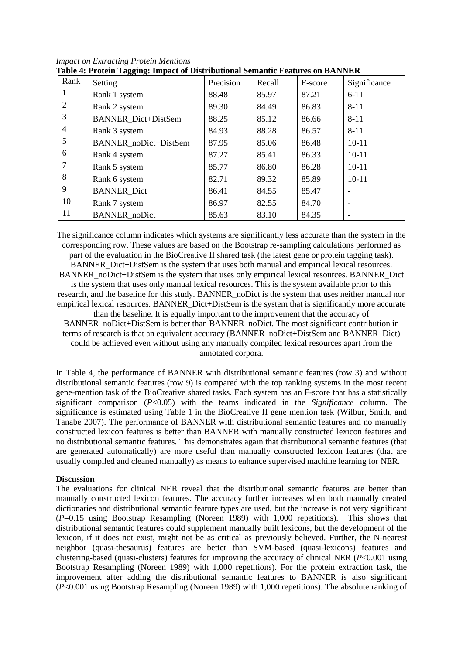| Rank           | 88 8<br>Setting            | Precision | Recall | F-score | Significance |
|----------------|----------------------------|-----------|--------|---------|--------------|
| 1              | Rank 1 system              | 88.48     | 85.97  | 87.21   | $6 - 11$     |
| 2              | Rank 2 system              | 89.30     | 84.49  | 86.83   | $8 - 11$     |
| 3              | <b>BANNER</b> Dict+DistSem | 88.25     | 85.12  | 86.66   | $8 - 11$     |
| 4              | Rank 3 system              | 84.93     | 88.28  | 86.57   | $8 - 11$     |
| 5 <sup>5</sup> | BANNER_noDict+DistSem      | 87.95     | 85.06  | 86.48   | $10 - 11$    |
| 6              | Rank 4 system              | 87.27     | 85.41  | 86.33   | $10 - 11$    |
| 7              | Rank 5 system              | 85.77     | 86.80  | 86.28   | $10 - 11$    |
| 8              | Rank 6 system              | 82.71     | 89.32  | 85.89   | $10 - 11$    |
| 9              | <b>BANNER_Dict</b>         | 86.41     | 84.55  | 85.47   |              |
| 10             | Rank 7 system              | 86.97     | 82.55  | 84.70   | -            |
| 11             | <b>BANNER_noDict</b>       | 85.63     | 83.10  | 84.35   |              |

*Impact on Extracting Protein Mentions* **Table 4: Protein Tagging: Impact of Distributional Semantic Features on BANNER**

The significance column indicates which systems are significantly less accurate than the system in the corresponding row. These values are based on the Bootstrap re-sampling calculations performed as part of the evaluation in the BioCreative II shared task (the latest gene or protein tagging task). BANNER\_Dict+DistSem is the system that uses both manual and empirical lexical resources. BANNER noDict+DistSem is the system that uses only empirical lexical resources. BANNER Dict is the system that uses only manual lexical resources. This is the system available prior to this research, and the baseline for this study. BANNER noDict is the system that uses neither manual nor empirical lexical resources. BANNER\_Dict+DistSem is the system that is significantly more accurate than the baseline. It is equally important to the improvement that the accuracy of BANNER\_noDict+DistSem is better than BANNER\_noDict. The most significant contribution in terms of research is that an equivalent accuracy (BANNER\_noDict+DistSem and BANNER\_Dict) could be achieved even without using any manually compiled lexical resources apart from the

annotated corpora.

In Table 4, the performance of BANNER with distributional semantic features (row 3) and without distributional semantic features (row 9) is compared with the top ranking systems in the most recent gene-mention task of the BioCreative shared tasks. Each system has an F-score that has a statistically significant comparison (*P*<0.05) with the teams indicated in the *Significance* column. The significance is estimated using Table 1 in the BioCreative II gene mention task (Wilbur, Smith, and Tanabe 2007). The performance of BANNER with distributional semantic features and no manually constructed lexicon features is better than BANNER with manually constructed lexicon features and no distributional semantic features. This demonstrates again that distributional semantic features (that are generated automatically) are more useful than manually constructed lexicon features (that are usually compiled and cleaned manually) as means to enhance supervised machine learning for NER.

### **Discussion**

The evaluations for clinical NER reveal that the distributional semantic features are better than manually constructed lexicon features. The accuracy further increases when both manually created dictionaries and distributional semantic feature types are used, but the increase is not very significant (*P*=0.15 using Bootstrap Resampling (Noreen 1989) with 1,000 repetitions). This shows that distributional semantic features could supplement manually built lexicons, but the development of the lexicon, if it does not exist, might not be as critical as previously believed. Further, the N-nearest neighbor (quasi-thesaurus) features are better than SVM-based (quasi-lexicons) features and clustering-based (quasi-clusters) features for improving the accuracy of clinical NER (*P*<0.001 using Bootstrap Resampling (Noreen 1989) with 1,000 repetitions). For the protein extraction task, the improvement after adding the distributional semantic features to BANNER is also significant (*P*<0.001 using Bootstrap Resampling (Noreen 1989) with 1,000 repetitions). The absolute ranking of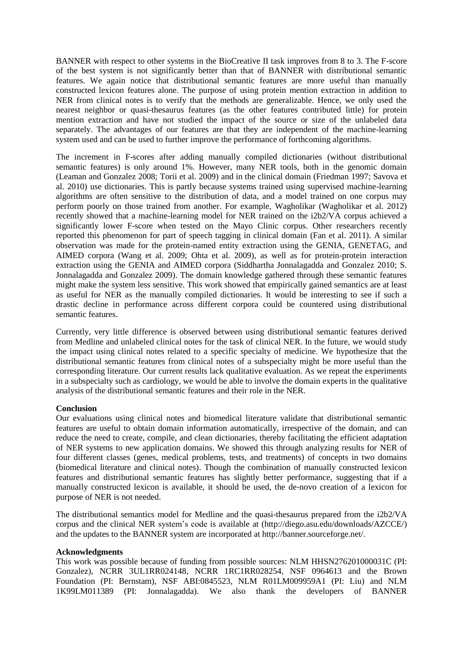BANNER with respect to other systems in the BioCreative II task improves from 8 to 3. The F-score of the best system is not significantly better than that of BANNER with distributional semantic features. We again notice that distributional semantic features are more useful than manually constructed lexicon features alone. The purpose of using protein mention extraction in addition to NER from clinical notes is to verify that the methods are generalizable. Hence, we only used the nearest neighbor or quasi-thesaurus features (as the other features contributed little) for protein mention extraction and have not studied the impact of the source or size of the unlabeled data separately. The advantages of our features are that they are independent of the machine-learning system used and can be used to further improve the performance of forthcoming algorithms.

The increment in F-scores after adding manually compiled dictionaries (without distributional semantic features) is only around 1%. However, many NER tools, both in the genomic domain (Leaman and Gonzalez 2008; Torii et al. 2009) and in the clinical domain (Friedman 1997; Savova et al. 2010) use dictionaries. This is partly because systems trained using supervised machine-learning algorithms are often sensitive to the distribution of data, and a model trained on one corpus may perform poorly on those trained from another. For example, Wagholikar (Wagholikar et al. 2012) recently showed that a machine-learning model for NER trained on the i2b2/VA corpus achieved a significantly lower F-score when tested on the Mayo Clinic corpus. Other researchers recently reported this phenomenon for part of speech tagging in clinical domain (Fan et al. 2011). A similar observation was made for the protein-named entity extraction using the GENIA, GENETAG, and AIMED corpora (Wang et al. 2009; Ohta et al. 2009), as well as for protein-protein interaction extraction using the GENIA and AIMED corpora (Siddhartha Jonnalagadda and Gonzalez 2010; S. Jonnalagadda and Gonzalez 2009). The domain knowledge gathered through these semantic features might make the system less sensitive. This work showed that empirically gained semantics are at least as useful for NER as the manually compiled dictionaries. It would be interesting to see if such a drastic decline in performance across different corpora could be countered using distributional semantic features.

Currently, very little difference is observed between using distributional semantic features derived from Medline and unlabeled clinical notes for the task of clinical NER. In the future, we would study the impact using clinical notes related to a specific specialty of medicine. We hypothesize that the distributional semantic features from clinical notes of a subspecialty might be more useful than the corresponding literature. Our current results lack qualitative evaluation. As we repeat the experiments in a subspecialty such as cardiology, we would be able to involve the domain experts in the qualitative analysis of the distributional semantic features and their role in the NER.

# **Conclusion**

Our evaluations using clinical notes and biomedical literature validate that distributional semantic features are useful to obtain domain information automatically, irrespective of the domain, and can reduce the need to create, compile, and clean dictionaries, thereby facilitating the efficient adaptation of NER systems to new application domains. We showed this through analyzing results for NER of four different classes (genes, medical problems, tests, and treatments) of concepts in two domains (biomedical literature and clinical notes). Though the combination of manually constructed lexicon features and distributional semantic features has slightly better performance, suggesting that if a manually constructed lexicon is available, it should be used, the de-novo creation of a lexicon for purpose of NER is not needed.

The distributional semantics model for Medline and the quasi-thesaurus prepared from the i2b2/VA corpus and the clinical NER system's code is available at (http://diego.asu.edu/downloads/AZCCE/) and the updates to the BANNER system are incorporated at http://banner.sourceforge.net/.

# **Acknowledgments**

This work was possible because of funding from possible sources: NLM HHSN276201000031C (PI: Gonzalez), NCRR 3UL1RR024148, NCRR 1RC1RR028254, NSF 0964613 and the Brown Foundation (PI: Bernstam), NSF ABI:0845523, NLM R01LM009959A1 (PI: Liu) and NLM 1K99LM011389 (PI: Jonnalagadda). We also thank the developers of BANNER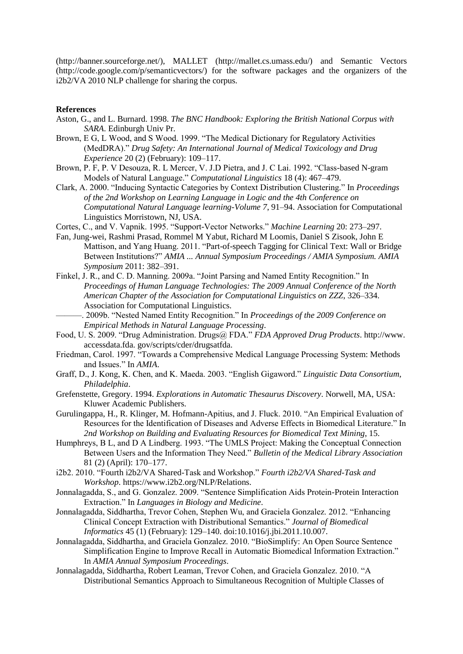(http://banner.sourceforge.net/), MALLET (http://mallet.cs.umass.edu/) and Semantic Vectors (http://code.google.com/p/semanticvectors/) for the software packages and the organizers of the i2b2/VA 2010 NLP challenge for sharing the corpus.

### **References**

- Aston, G., and L. Burnard. 1998. *The BNC Handbook: Exploring the British National Corpus with SARA*. Edinburgh Univ Pr.
- Brown, E G, L Wood, and S Wood. 1999. "The Medical Dictionary for Regulatory Activities (MedDRA)." *Drug Safety: An International Journal of Medical Toxicology and Drug Experience* 20 (2) (February): 109–117.
- Brown, P. F, P. V Desouza, R. L Mercer, V. J.D Pietra, and J. C Lai. 1992. "Class-based N-gram Models of Natural Language." *Computational Linguistics* 18 (4): 467–479.
- Clark, A. 2000. "Inducing Syntactic Categories by Context Distribution Clustering." In *Proceedings of the 2nd Workshop on Learning Language in Logic and the 4th Conference on Computational Natural Language learning-Volume 7*, 91–94. Association for Computational Linguistics Morristown, NJ, USA.
- Cortes, C., and V. Vapnik. 1995. "Support-Vector Networks." *Machine Learning* 20: 273–297.
- Fan, Jung-wei, Rashmi Prasad, Rommel M Yabut, Richard M Loomis, Daniel S Zisook, John E Mattison, and Yang Huang. 2011. "Part-of-speech Tagging for Clinical Text: Wall or Bridge Between Institutions?" *AMIA ... Annual Symposium Proceedings / AMIA Symposium. AMIA Symposium* 2011: 382–391.
- Finkel, J. R., and C. D. Manning. 2009a. "Joint Parsing and Named Entity Recognition." In *Proceedings of Human Language Technologies: The 2009 Annual Conference of the North American Chapter of the Association for Computational Linguistics on ZZZ*, 326–334. Association for Computational Linguistics.
- ———. 2009b. "Nested Named Entity Recognition." In *Proceedings of the 2009 Conference on Empirical Methods in Natural Language Processing*.
- Food, U. S. 2009. "Drug Administration. Drugs@ FDA." *FDA Approved Drug Products*. http://www. accessdata.fda. gov/scripts/cder/drugsatfda.
- Friedman, Carol. 1997. "Towards a Comprehensive Medical Language Processing System: Methods and Issues." In *AMIA*.
- Graff, D., J. Kong, K. Chen, and K. Maeda. 2003. "English Gigaword." *Linguistic Data Consortium, Philadelphia*.
- Grefenstette, Gregory. 1994. *Explorations in Automatic Thesaurus Discovery*. Norwell, MA, USA: Kluwer Academic Publishers.
- Gurulingappa, H., R. Klinger, M. Hofmann-Apitius, and J. Fluck. 2010. "An Empirical Evaluation of Resources for the Identification of Diseases and Adverse Effects in Biomedical Literature." In *2nd Workshop on Building and Evaluating Resources for Biomedical Text Mining*, 15.
- Humphreys, B L, and D A Lindberg. 1993. "The UMLS Project: Making the Conceptual Connection Between Users and the Information They Need." *Bulletin of the Medical Library Association* 81 (2) (April): 170–177.
- i2b2. 2010. "Fourth i2b2/VA Shared-Task and Workshop." *Fourth i2b2/VA Shared-Task and Workshop*. https://www.i2b2.org/NLP/Relations.
- Jonnalagadda, S., and G. Gonzalez. 2009. "Sentence Simplification Aids Protein-Protein Interaction Extraction." In *Languages in Biology and Medicine*.
- Jonnalagadda, Siddhartha, Trevor Cohen, Stephen Wu, and Graciela Gonzalez. 2012. "Enhancing Clinical Concept Extraction with Distributional Semantics." *Journal of Biomedical Informatics* 45 (1) (February): 129–140. doi:10.1016/j.jbi.2011.10.007.
- Jonnalagadda, Siddhartha, and Graciela Gonzalez. 2010. "BioSimplify: An Open Source Sentence Simplification Engine to Improve Recall in Automatic Biomedical Information Extraction." In *AMIA Annual Symposium Proceedings*.
- Jonnalagadda, Siddhartha, Robert Leaman, Trevor Cohen, and Graciela Gonzalez. 2010. "A Distributional Semantics Approach to Simultaneous Recognition of Multiple Classes of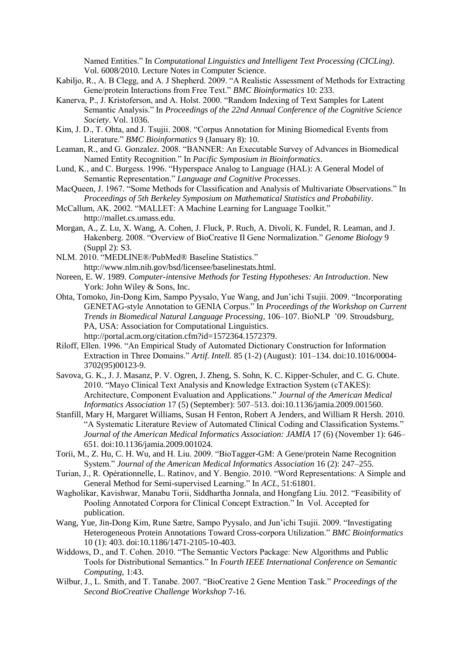Named Entities." In *Computational Linguistics and Intelligent Text Processing (CICLing)*. Vol. 6008/2010. Lecture Notes in Computer Science.

- Kabiljo, R., A. B Clegg, and A. J Shepherd. 2009. "A Realistic Assessment of Methods for Extracting Gene/protein Interactions from Free Text." *BMC Bioinformatics* 10: 233.
- Kanerva, P., J. Kristoferson, and A. Holst. 2000. "Random Indexing of Text Samples for Latent Semantic Analysis." In *Proceedings of the 22nd Annual Conference of the Cognitive Science Society*. Vol. 1036.
- Kim, J. D., T. Ohta, and J. Tsujii. 2008. "Corpus Annotation for Mining Biomedical Events from Literature." *BMC Bioinformatics* 9 (January 8): 10.
- Leaman, R., and G. Gonzalez. 2008. "BANNER: An Executable Survey of Advances in Biomedical Named Entity Recognition." In *Pacific Symposium in Bioinformatics*.
- Lund, K., and C. Burgess. 1996. "Hyperspace Analog to Language (HAL): A General Model of Semantic Representation." *Language and Cognitive Processes*.
- MacQueen, J. 1967. "Some Methods for Classification and Analysis of Multivariate Observations." In *Proceedings of 5th Berkeley Symposium on Mathematical Statistics and Probability*.
- McCallum, AK. 2002. "MALLET: A Machine Learning for Language Toolkit." http://mallet.cs.umass.edu.
- Morgan, A., Z. Lu, X. Wang, A. Cohen, J. Fluck, P. Ruch, A. Divoli, K. Fundel, R. Leaman, and J. Hakenberg. 2008. "Overview of BioCreative II Gene Normalization." *Genome Biology* 9 (Suppl 2): S3.
- NLM. 2010. "MEDLINE®/PubMed® Baseline Statistics." http://www.nlm.nih.gov/bsd/licensee/baselinestats.html.
- Noreen, E. W. 1989. *Computer-intensive Methods for Testing Hypotheses: An Introduction*. New York: John Wiley & Sons, Inc.
- Ohta, Tomoko, Jin-Dong Kim, Sampo Pyysalo, Yue Wang, and Jun'ichi Tsujii. 2009. "Incorporating GENETAG-style Annotation to GENIA Corpus." In *Proceedings of the Workshop on Current Trends in Biomedical Natural Language Processing*, 106–107. BioNLP '09. Stroudsburg, PA, USA: Association for Computational Linguistics. http://portal.acm.org/citation.cfm?id=1572364.1572379.
- Riloff, Ellen. 1996. "An Empirical Study of Automated Dictionary Construction for Information Extraction in Three Domains." *Artif. Intell.* 85 (1-2) (August): 101–134. doi:10.1016/0004- 3702(95)00123-9.
- Savova, G. K., J. J. Masanz, P. V. Ogren, J. Zheng, S. Sohn, K. C. Kipper-Schuler, and C. G. Chute. 2010. "Mayo Clinical Text Analysis and Knowledge Extraction System (cTAKES): Architecture, Component Evaluation and Applications." *Journal of the American Medical Informatics Association* 17 (5) (September): 507–513. doi:10.1136/jamia.2009.001560.
- Stanfill, Mary H, Margaret Williams, Susan H Fenton, Robert A Jenders, and William R Hersh. 2010. "A Systematic Literature Review of Automated Clinical Coding and Classification Systems." *Journal of the American Medical Informatics Association: JAMIA* 17 (6) (November 1): 646– 651. doi:10.1136/jamia.2009.001024.
- Torii, M., Z. Hu, C. H. Wu, and H. Liu. 2009. "BioTagger-GM: A Gene/protein Name Recognition System." *Journal of the American Medical Informatics Association* 16 (2): 247–255.
- Turian, J., R. Opérationnelle, L. Ratinov, and Y. Bengio. 2010. "Word Representations: A Simple and General Method for Semi-supervised Learning." In *ACL*, 51:61801.
- Wagholikar, Kavishwar, Manabu Torii, Siddhartha Jonnala, and Hongfang Liu. 2012. "Feasibility of Pooling Annotated Corpora for Clinical Concept Extraction." In Vol. Accepted for publication.
- Wang, Yue, Jin-Dong Kim, Rune Sætre, Sampo Pyysalo, and Jun'ichi Tsujii. 2009. "Investigating Heterogeneous Protein Annotations Toward Cross-corpora Utilization." *BMC Bioinformatics* 10 (1): 403. doi:10.1186/1471-2105-10-403.
- Widdows, D., and T. Cohen. 2010. "The Semantic Vectors Package: New Algorithms and Public Tools for Distributional Semantics." In *Fourth IEEE International Conference on Semantic Computing*, 1:43.
- Wilbur, J., L. Smith, and T. Tanabe. 2007. "BioCreative 2 Gene Mention Task." *Proceedings of the Second BioCreative Challenge Workshop* 7-16.